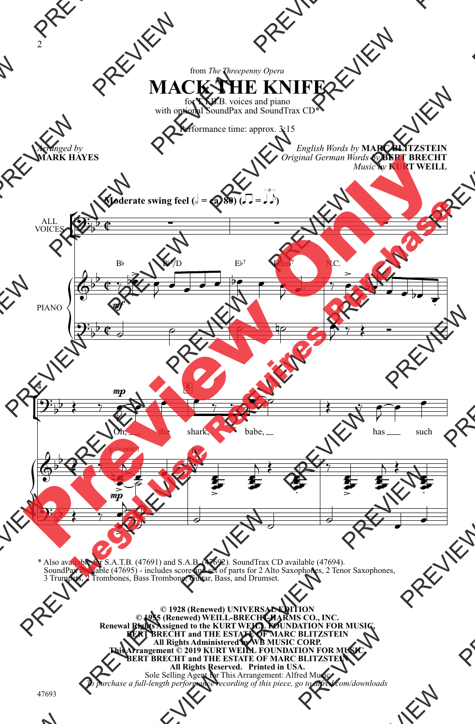## from *The Threepenny Opera* for T.T.B.B. voices and piano **MACK THE KNIFE**

with optional SoundPax and SoundTrax CD\*

Performance time: approx. 3:15

*Arranged by* **MARK HAYES**

*English Words by* **MARC BLITZSTEIN** *Original German Words by* **BERT BRECHT** *Music by* **KURT WEILL**



\* Also available for S.A.T.B. (47691) and S.A.B. (47692). SoundTrax CD available (47694). SoundPax available (47695) - includes score and set of parts for 2 Alto Saxophones, 2 Tenor Saxophones, 3 Trumpets, 2 Trombones, Bass Trombone, Guitar, Bass, and Drumset.

> **© 1928 (Renewed) UNIVERSAL EDITION © 1955 (Renewed) WEILL-BRECHT-HARMS CO., INC. Renewal Rights Assigned to the KURT WEILL FOUNDATION FOR MUSIC, BERT BRECHT and THE ESTATE OF MARC BLITZSTEIN All Rights Administered by WB MUSIC CORP. This Arrangement © 2019 KURT WEILL FOUNDATION FOR MUSIC, BERT BRECHT and THE ESTATE OF MARC BLITZSTEIN All Rights Reserved. Printed in USA.** Sole Selling Agent for This Arrangement: Alfred Music *To purchase a full-length performance recording of this piece, go to alfred.com/downloads*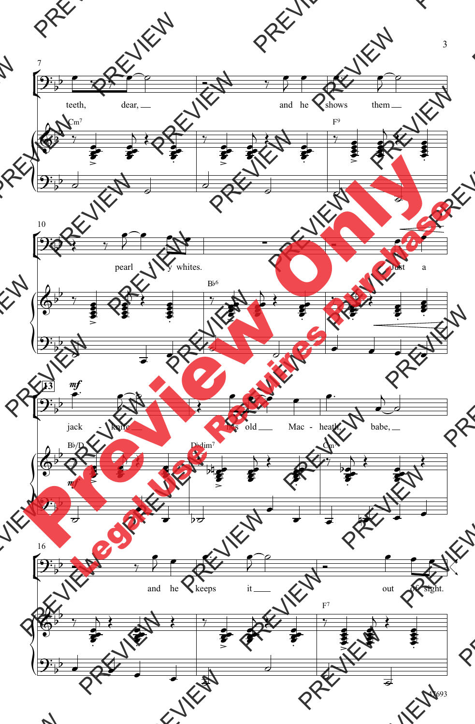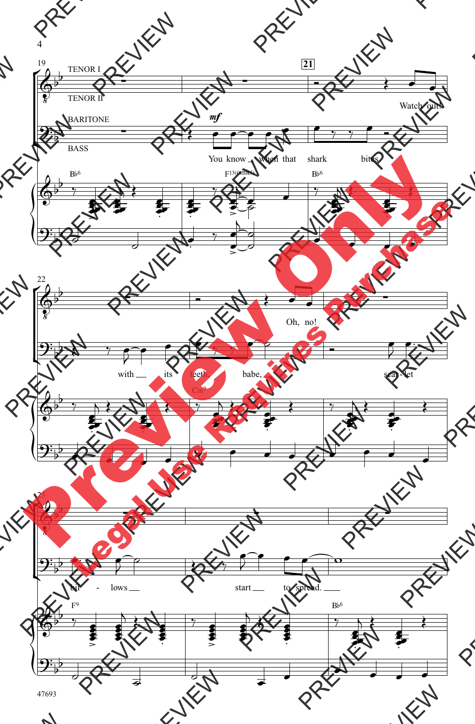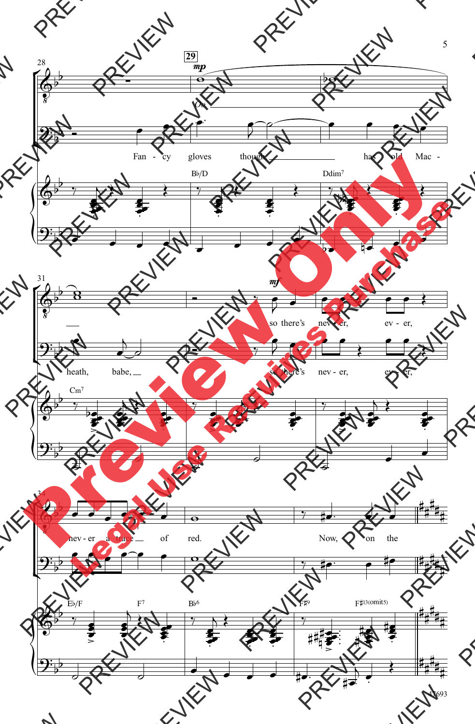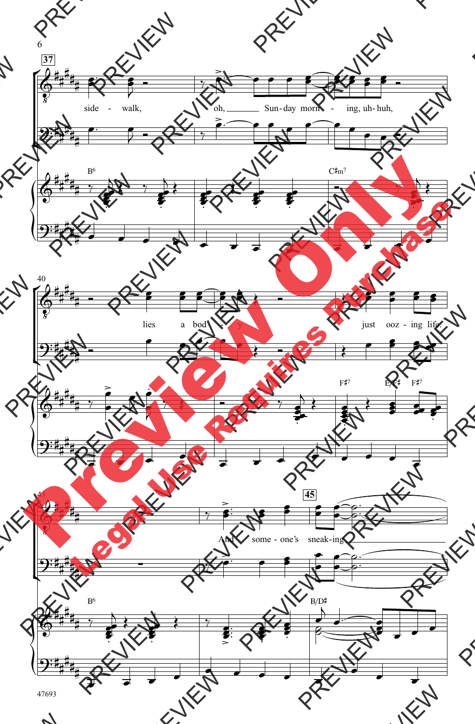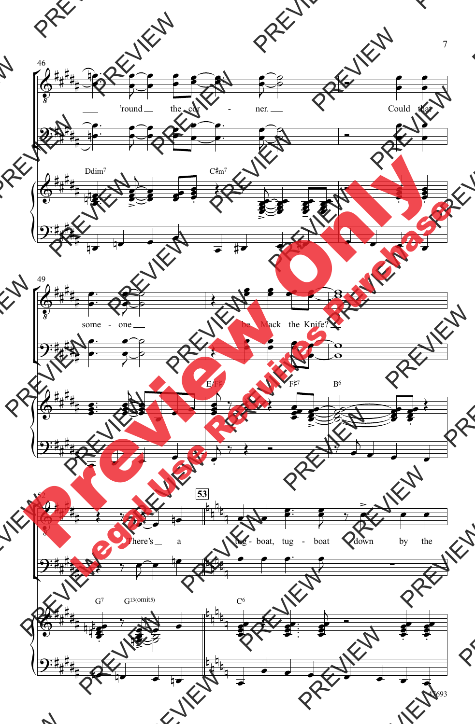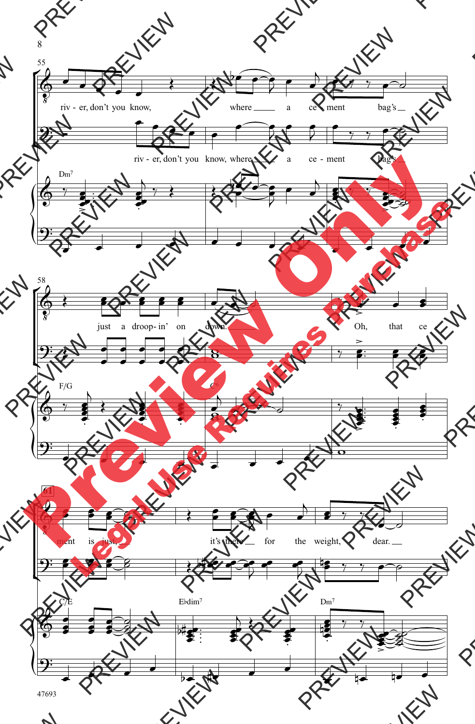

<sup>47693</sup>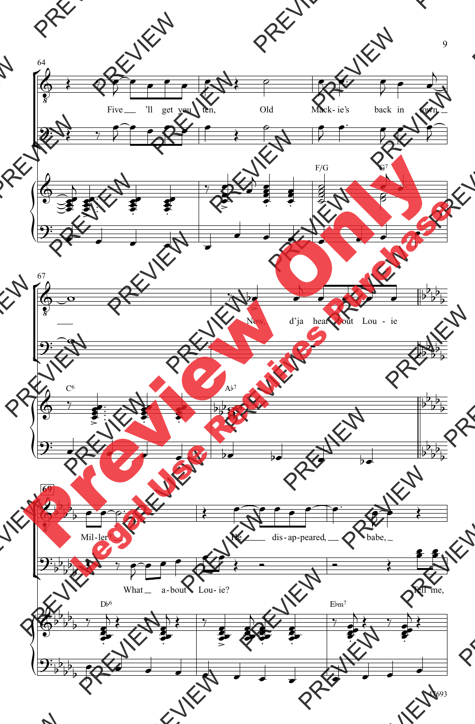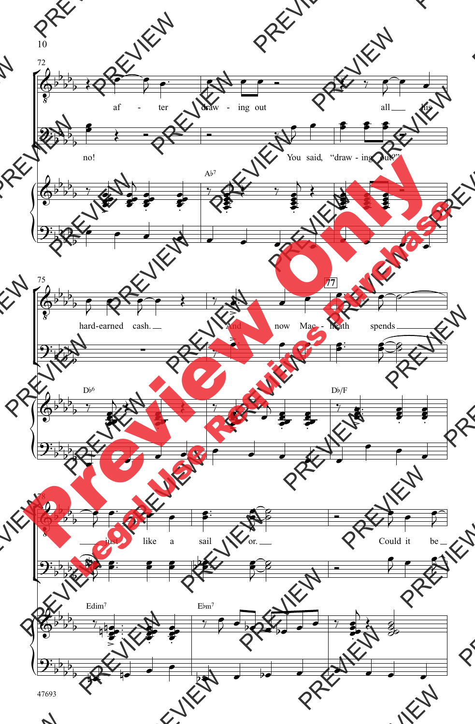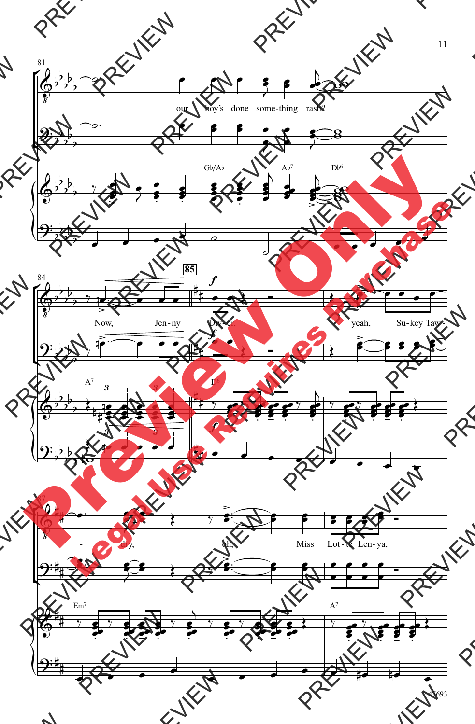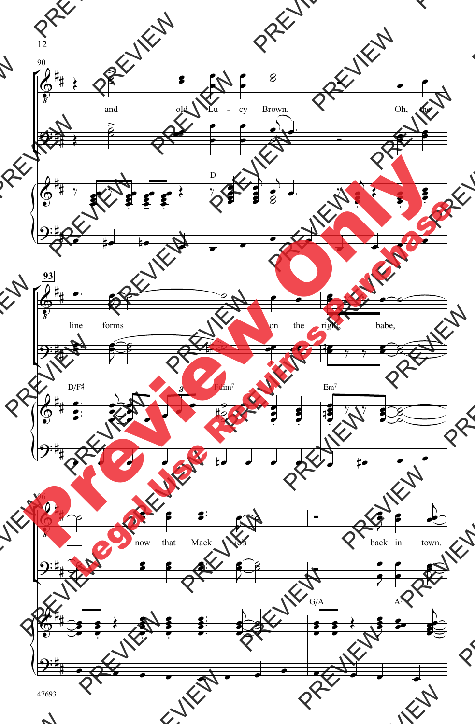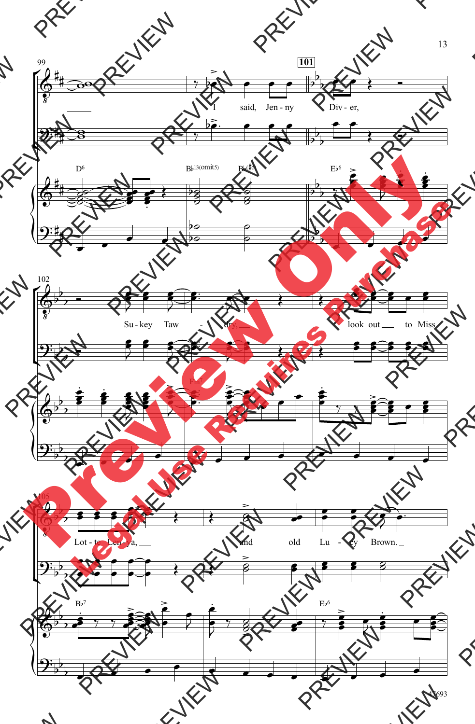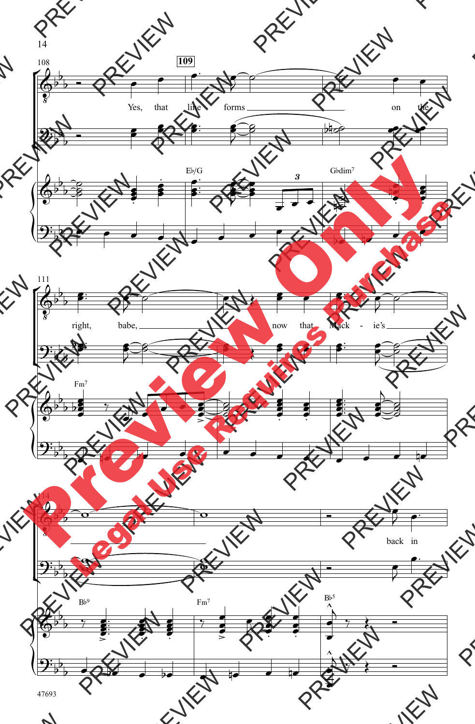